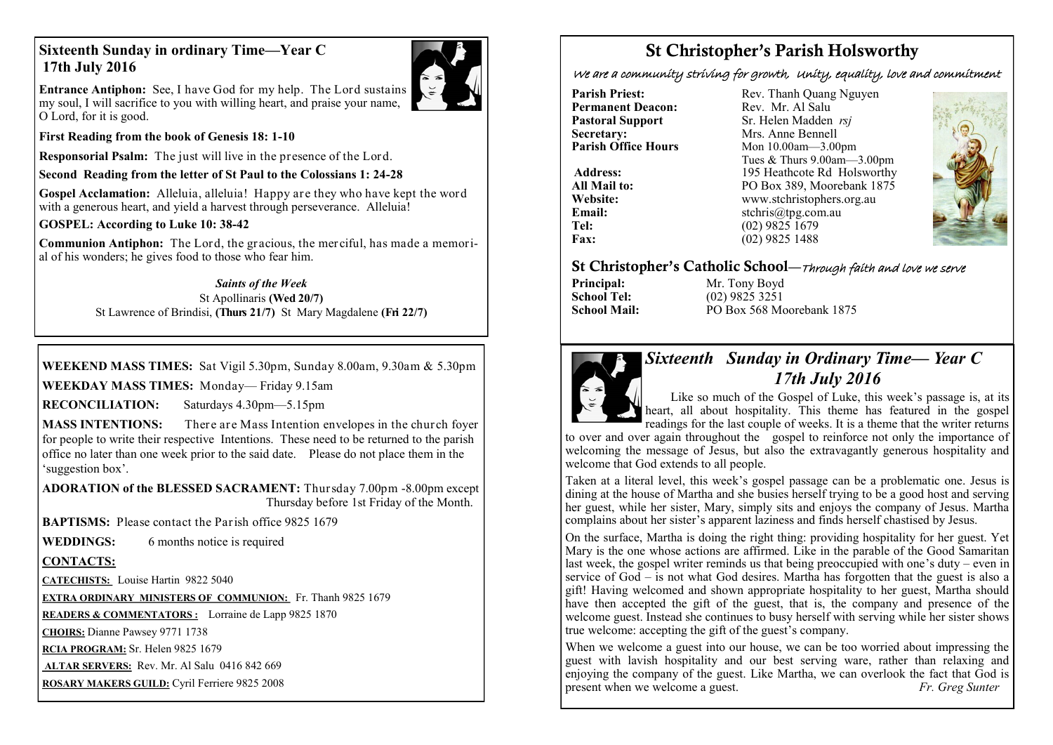## **Sixteenth Sunday in ordinary Time—Year C 17th July 2016**



**Entrance Antiphon:** See, I have God for my help. The Lord sustains my soul, I will sacrifice to you with willing heart, and praise your name, O Lord, for it is good.

**First Reading from the book of Genesis 18: 1-10** 

**Responsorial Psalm:** The just will live in the presence of the Lord.

**Second Reading from the letter of St Paul to the Colossians 1: 24-28**

**Gospel Acclamation:** Alleluia, alleluia! Happy are they who have kept the word with a generous heart, and yield a harvest through perseverance. Alleluia!

**GOSPEL: According to Luke 10: 38-42**

**Communion Antiphon:** The Lord, the gracious, the mer ciful, has made a memorial of his wonders; he gives food to those who fear him.

> *Saints of the Week* St Apollinaris **(Wed 20/7)** St Lawrence of Brindisi, **(Thurs 21/7)** St Mary Magdalene **(Fri 22/7)**

**WEEKEND MASS TIMES:** Sat Vigil 5.30pm, Sunday 8.00am, 9.30am & 5.30pm

**WEEKDAY MASS TIMES:** Monday— Friday 9.15am

**RECONCILIATION:** Saturdays 4.30pm—5.15pm

**MASS INTENTIONS:** There are Mass Intention envelopes in the church foyer for people to write their respective Intentions. These need to be returned to the parish office no later than one week prior to the said date. Please do not place them in the 'suggestion box'.

**ADORATION of the BLESSED SACRAMENT:** Thursday 7.00pm -8.00pm except Thursday before 1st Friday of the Month.

**BAPTISMS:** Please contact the Parish office 9825 1679

**WEDDINGS:** 6 months notice is required

## **CONTACTS:**

**CATECHISTS:** Louise Hartin 9822 5040

**EXTRA ORDINARY MINISTERS OF COMMUNION:** Fr. Thanh 9825 1679

**READERS & COMMENTATORS :** Lorraine de Lapp 9825 1870

**CHOIRS:** Dianne Pawsey 9771 1738

**RCIA PROGRAM:** Sr. Helen 9825 1679

**ALTAR SERVERS:** Rev. Mr. Al Salu 0416 842 669

**ROSARY MAKERS GUILD:** Cyril Ferriere 9825 2008

# St Christopher's Parish Holsworthy

We are a community striving for growth, Unity, equality, love and commitment

**Permanent Deacon:**<br>**Pastoral Support Secretary:**  $\overrightarrow{ }$  Mrs. Anne Bennell<br>**Parish Office Hours** Mon 10.00am - 3.00

**Parish Priest:** Rev. Thanh Quang Nguyen<br> **Permanent Deacon:** Rev. Mr. Al Salu **Pastoral Support** Sr. Helen Madden *rsj*<br>
Secretary: Mrs. Anne Bennell **Mon 10.00am—3.00pm** Tues & Thurs 9.00am—3.00pm Address: 195 Heathcote Rd Holsworthy **All Mail to:** PO Box 389, Moorebank 1875 **Website:** www.stchristophers.org.au<br> **Email:** stchris@tng.com au **Email:** stchris@tpg.com.au<br> **Tel:** (02) 9825 1679 **Tel:** (02) 9825 1679 **Fax:** (02) 9825 1488



## St Christopher's Catholic School—Through faith and love we serve

**Principal:** Mr. Tony Boyd<br> **School Tel:** (02) 9825 3251 **School Tel:** (02) 9825 3251 **School Mail:** PO Box 568 Moorebank 1875



# *Sixteenth Sunday in Ordinary Time— Year C 17th July 2016*

 Like so much of the Gospel of Luke, this week's passage is, at its heart, all about hospitality. This theme has featured in the gospel readings for the last couple of weeks. It is a theme that the writer returns

to over and over again throughout the gospel to reinforce not only the importance of welcoming the message of Jesus, but also the extravagantly generous hospitality and welcome that God extends to all people.

Taken at a literal level, this week's gospel passage can be a problematic one. Jesus is dining at the house of Martha and she busies herself trying to be a good host and serving her guest, while her sister, Mary, simply sits and enjoys the company of Jesus. Martha complains about her sister's apparent laziness and finds herself chastised by Jesus.

On the surface, Martha is doing the right thing: providing hospitality for her guest. Yet Mary is the one whose actions are affirmed. Like in the parable of the Good Samaritan last week, the gospel writer reminds us that being preoccupied with one's duty – even in service of God – is not what God desires. Martha has forgotten that the guest is also a gift! Having welcomed and shown appropriate hospitality to her guest, Martha should have then accepted the gift of the guest, that is, the company and presence of the welcome guest. Instead she continues to busy herself with serving while her sister shows true welcome: accepting the gift of the guest's company.

When we welcome a guest into our house, we can be too worried about impressing the guest with lavish hospitality and our best serving ware, rather than relaxing and enjoying the company of the guest. Like Martha, we can overlook the fact that God is present when we welcome a guest. *Fr. Greg Sunter*